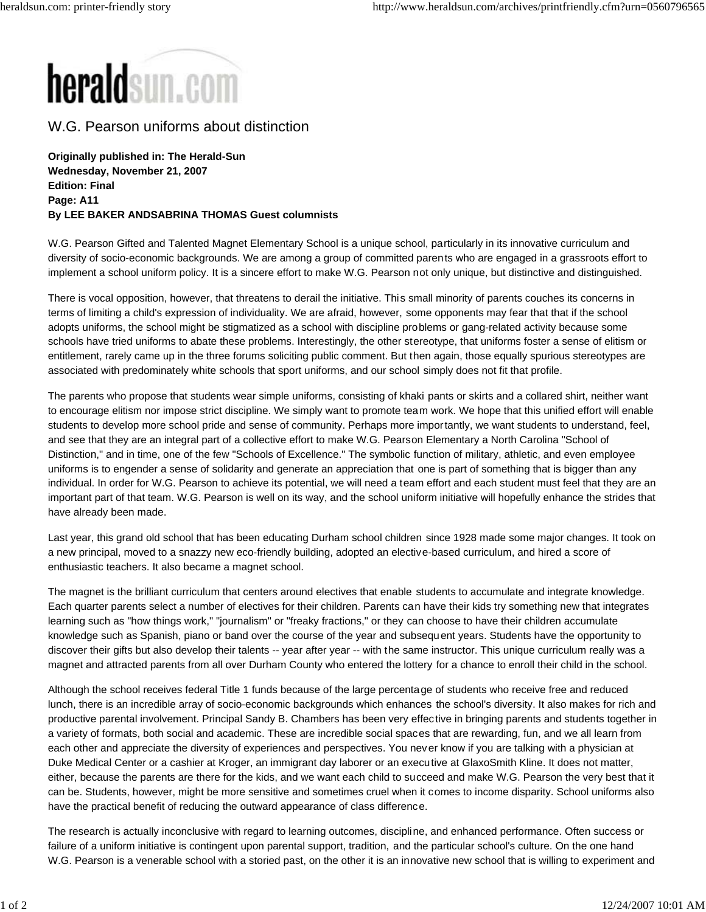

W.G. Pearson uniforms about distinction

**Originally published in: The Herald-Sun Wednesday, November 21, 2007 Edition: Final Page: A11 By LEE BAKER ANDSABRINA THOMAS Guest columnists**

W.G. Pearson Gifted and Talented Magnet Elementary School is a unique school, particularly in its innovative curriculum and diversity of socio-economic backgrounds. We are among a group of committed parents who are engaged in a grassroots effort to implement a school uniform policy. It is a sincere effort to make W.G. Pearson not only unique, but distinctive and distinguished.

There is vocal opposition, however, that threatens to derail the initiative. This small minority of parents couches its concerns in terms of limiting a child's expression of individuality. We are afraid, however, some opponents may fear that that if the school adopts uniforms, the school might be stigmatized as a school with discipline problems or gang-related activity because some schools have tried uniforms to abate these problems. Interestingly, the other stereotype, that uniforms foster a sense of elitism or entitlement, rarely came up in the three forums soliciting public comment. But then again, those equally spurious stereotypes are associated with predominately white schools that sport uniforms, and our school simply does not fit that profile.

The parents who propose that students wear simple uniforms, consisting of khaki pants or skirts and a collared shirt, neither want to encourage elitism nor impose strict discipline. We simply want to promote team work. We hope that this unified effort will enable students to develop more school pride and sense of community. Perhaps more importantly, we want students to understand, feel, and see that they are an integral part of a collective effort to make W.G. Pearson Elementary a North Carolina "School of Distinction," and in time, one of the few "Schools of Excellence." The symbolic function of military, athletic, and even employee uniforms is to engender a sense of solidarity and generate an appreciation that one is part of something that is bigger than any individual. In order for W.G. Pearson to achieve its potential, we will need a team effort and each student must feel that they are an important part of that team. W.G. Pearson is well on its way, and the school uniform initiative will hopefully enhance the strides that have already been made.

Last year, this grand old school that has been educating Durham school children since 1928 made some major changes. It took on a new principal, moved to a snazzy new eco-friendly building, adopted an elective-based curriculum, and hired a score of enthusiastic teachers. It also became a magnet school.

The magnet is the brilliant curriculum that centers around electives that enable students to accumulate and integrate knowledge. Each quarter parents select a number of electives for their children. Parents can have their kids try something new that integrates learning such as "how things work," "journalism" or "freaky fractions," or they can choose to have their children accumulate knowledge such as Spanish, piano or band over the course of the year and subsequent years. Students have the opportunity to discover their gifts but also develop their talents -- year after year -- with the same instructor. This unique curriculum really was a magnet and attracted parents from all over Durham County who entered the lottery for a chance to enroll their child in the school.

Although the school receives federal Title 1 funds because of the large percentage of students who receive free and reduced lunch, there is an incredible array of socio-economic backgrounds which enhances the school's diversity. It also makes for rich and productive parental involvement. Principal Sandy B. Chambers has been very effective in bringing parents and students together in a variety of formats, both social and academic. These are incredible social spaces that are rewarding, fun, and we all learn from each other and appreciate the diversity of experiences and perspectives. You never know if you are talking with a physician at Duke Medical Center or a cashier at Kroger, an immigrant day laborer or an executive at GlaxoSmith Kline. It does not matter, either, because the parents are there for the kids, and we want each child to succeed and make W.G. Pearson the very best that it can be. Students, however, might be more sensitive and sometimes cruel when it comes to income disparity. School uniforms also have the practical benefit of reducing the outward appearance of class difference.

The research is actually inconclusive with regard to learning outcomes, discipline, and enhanced performance. Often success or failure of a uniform initiative is contingent upon parental support, tradition, and the particular school's culture. On the one hand W.G. Pearson is a venerable school with a storied past, on the other it is an innovative new school that is willing to experiment and